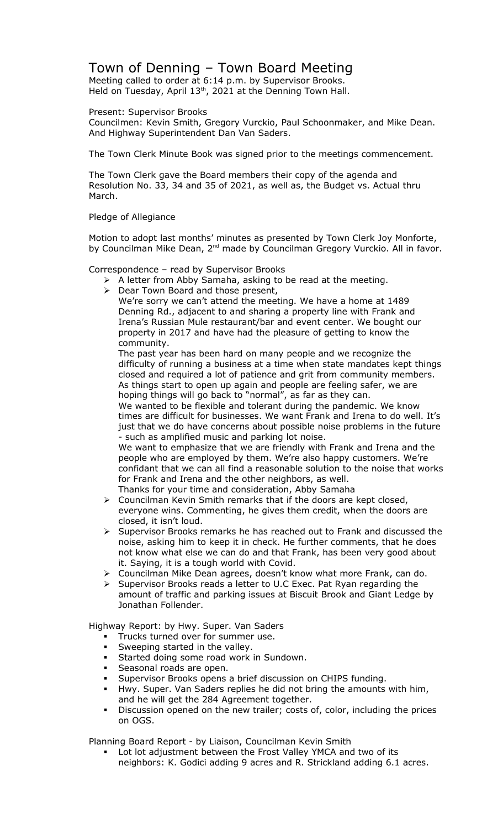## Town of Denning – Town Board Meeting

Meeting called to order at 6:14 p.m. by Supervisor Brooks. Held on Tuesday, April  $13<sup>th</sup>$ , 2021 at the Denning Town Hall.

## Present: Supervisor Brooks

Councilmen: Kevin Smith, Gregory Vurckio, Paul Schoonmaker, and Mike Dean. And Highway Superintendent Dan Van Saders.

The Town Clerk Minute Book was signed prior to the meetings commencement.

The Town Clerk gave the Board members their copy of the agenda and Resolution No. 33, 34 and 35 of 2021, as well as, the Budget vs. Actual thru March.

## Pledge of Allegiance

Motion to adopt last months' minutes as presented by Town Clerk Joy Monforte, by Councilman Mike Dean, 2<sup>nd</sup> made by Councilman Gregory Vurckio. All in favor.

Correspondence – read by Supervisor Brooks

- $\triangleright$  A letter from Abby Samaha, asking to be read at the meeting.
- ▶ Dear Town Board and those present,

We're sorry we can't attend the meeting. We have a home at 1489 Denning Rd., adjacent to and sharing a property line with Frank and Irena's Russian Mule restaurant/bar and event center. We bought our property in 2017 and have had the pleasure of getting to know the community.

The past year has been hard on many people and we recognize the difficulty of running a business at a time when state mandates kept things closed and required a lot of patience and grit from community members. As things start to open up again and people are feeling safer, we are hoping things will go back to "normal", as far as they can.

We wanted to be flexible and tolerant during the pandemic. We know times are difficult for businesses. We want Frank and Irena to do well. It's just that we do have concerns about possible noise problems in the future - such as amplified music and parking lot noise.

We want to emphasize that we are friendly with Frank and Irena and the people who are employed by them. We're also happy customers. We're confidant that we can all find a reasonable solution to the noise that works for Frank and Irena and the other neighbors, as well.

- Thanks for your time and consideration, Abby Samaha  $\triangleright$  Councilman Kevin Smith remarks that if the doors are kept closed,
- everyone wins. Commenting, he gives them credit, when the doors are closed, it isn't loud.
- $\triangleright$  Supervisor Brooks remarks he has reached out to Frank and discussed the noise, asking him to keep it in check. He further comments, that he does not know what else we can do and that Frank, has been very good about it. Saying, it is a tough world with Covid.
- $\triangleright$  Councilman Mike Dean agrees, doesn't know what more Frank, can do.
- Supervisor Brooks reads a letter to U.C Exec. Pat Ryan regarding the amount of traffic and parking issues at Biscuit Brook and Giant Ledge by Jonathan Follender.

Highway Report: by Hwy. Super. Van Saders

- **Trucks turned over for summer use.**
- Sweeping started in the valley.
- **Started doing some road work in Sundown.**
- **Seasonal roads are open.**
- Supervisor Brooks opens a brief discussion on CHIPS funding.
- Hwy. Super. Van Saders replies he did not bring the amounts with him, and he will get the 284 Agreement together.
- Discussion opened on the new trailer; costs of, color, including the prices on OGS.

Planning Board Report - by Liaison, Councilman Kevin Smith

 Lot lot adjustment between the Frost Valley YMCA and two of its neighbors: K. Godici adding 9 acres and R. Strickland adding 6.1 acres.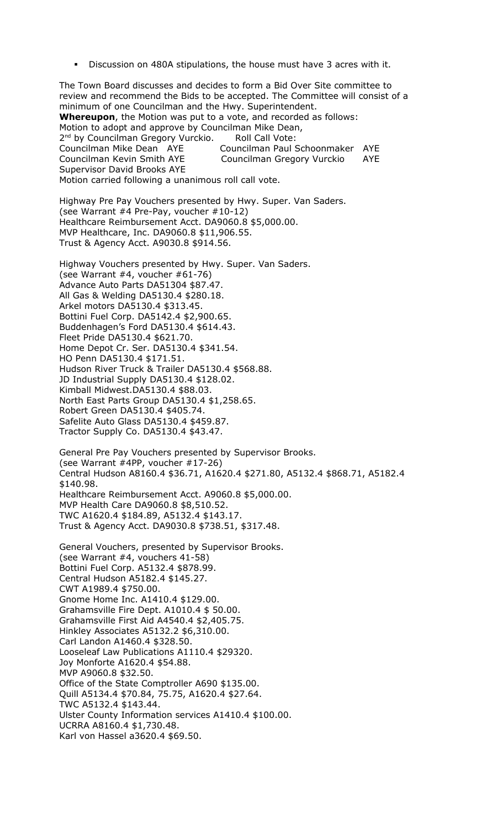Discussion on 480A stipulations, the house must have 3 acres with it.

The Town Board discusses and decides to form a Bid Over Site committee to review and recommend the Bids to be accepted. The Committee will consist of a minimum of one Councilman and the Hwy. Superintendent. **Whereupon**, the Motion was put to a vote, and recorded as follows: Motion to adopt and approve by Councilman Mike Dean, 2<sup>nd</sup> by Councilman Gregory Vurckio. Roll Call Vote: Councilman Mike Dean AYE Councilman Paul Schoonmaker AYE Councilman Kevin Smith AYE Councilman Gregory Vurckio AYE Supervisor David Brooks AYE Motion carried following a unanimous roll call vote. Highway Pre Pay Vouchers presented by Hwy. Super. Van Saders. (see Warrant #4 Pre-Pay, voucher #10-12) Healthcare Reimbursement Acct. DA9060.8 \$5,000.00. MVP Healthcare, Inc. DA9060.8 \$11,906.55. Trust & Agency Acct. A9030.8 \$914.56. Highway Vouchers presented by Hwy. Super. Van Saders. (see Warrant #4, voucher #61-76) Advance Auto Parts DA51304 \$87.47. All Gas & Welding DA5130.4 \$280.18. Arkel motors DA5130.4 \$313.45. Bottini Fuel Corp. DA5142.4 \$2,900.65. Buddenhagen's Ford DA5130.4 \$614.43. Fleet Pride DA5130.4 \$621.70. Home Depot Cr. Ser. DA5130.4 \$341.54. HO Penn DA5130.4 \$171.51. Hudson River Truck & Trailer DA5130.4 \$568.88. JD Industrial Supply DA5130.4 \$128.02. Kimball Midwest.DA5130.4 \$88.03. North East Parts Group DA5130.4 \$1,258.65. Robert Green DA5130.4 \$405.74. Safelite Auto Glass DA5130.4 \$459.87. Tractor Supply Co. DA5130.4 \$43.47. General Pre Pay Vouchers presented by Supervisor Brooks. (see Warrant #4PP, voucher #17-26) Central Hudson A8160.4 \$36.71, A1620.4 \$271.80, A5132.4 \$868.71, A5182.4 \$140.98. Healthcare Reimbursement Acct. A9060.8 \$5,000.00. MVP Health Care DA9060.8 \$8,510.52. TWC A1620.4 \$184.89, A5132.4 \$143.17. Trust & Agency Acct. DA9030.8 \$738.51, \$317.48. General Vouchers, presented by Supervisor Brooks. (see Warrant #4, vouchers 41-58) Bottini Fuel Corp. A5132.4 \$878.99. Central Hudson A5182.4 \$145.27. CWT A1989.4 \$750.00. Gnome Home Inc. A1410.4 \$129.00. Grahamsville Fire Dept. A1010.4 \$ 50.00. Grahamsville First Aid A4540.4 \$2,405.75. Hinkley Associates A5132.2 \$6,310.00. Carl Landon A1460.4 \$328.50. Looseleaf Law Publications A1110.4 \$29320. Joy Monforte A1620.4 \$54.88. MVP A9060.8 \$32.50. Office of the State Comptroller A690 \$135.00. Quill A5134.4 \$70.84, 75.75, A1620.4 \$27.64. TWC A5132.4 \$143.44. Ulster County Information services A1410.4 \$100.00. UCRRA A8160.4 \$1,730.48. Karl von Hassel a3620.4 \$69.50.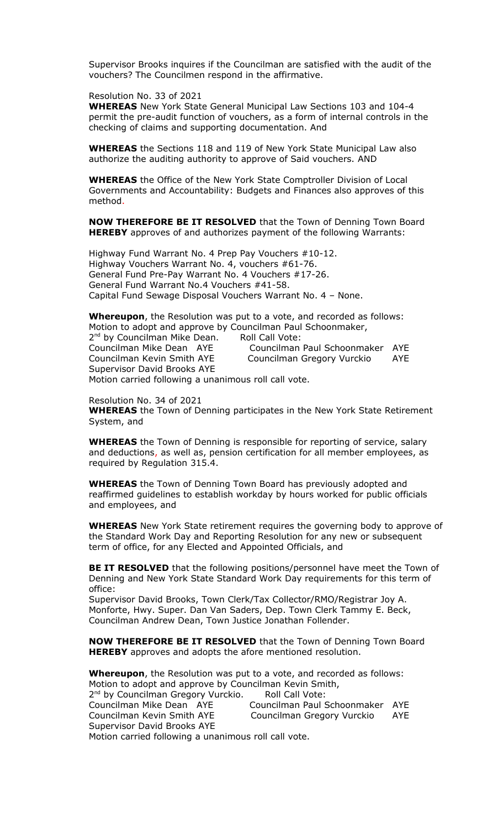Supervisor Brooks inquires if the Councilman are satisfied with the audit of the vouchers? The Councilmen respond in the affirmative.

## Resolution No. 33 of 2021

**WHEREAS** New York State General Municipal Law Sections 103 and 104-4 permit the pre-audit function of vouchers, as a form of internal controls in the checking of claims and supporting documentation. And

**WHEREAS** the Sections 118 and 119 of New York State Municipal Law also authorize the auditing authority to approve of Said vouchers. AND

**WHEREAS** the Office of the New York State Comptroller Division of Local Governments and Accountability: Budgets and Finances also approves of this method.

**NOW THEREFORE BE IT RESOLVED** that the Town of Denning Town Board **HEREBY** approves of and authorizes payment of the following Warrants:

Highway Fund Warrant No. 4 Prep Pay Vouchers #10-12. Highway Vouchers Warrant No. 4, vouchers #61-76. General Fund Pre-Pay Warrant No. 4 Vouchers #17-26. General Fund Warrant No.4 Vouchers #41-58. Capital Fund Sewage Disposal Vouchers Warrant No. 4 – None.

**Whereupon**, the Resolution was put to a vote, and recorded as follows: Motion to adopt and approve by Councilman Paul Schoonmaker, 2<sup>nd</sup> by Councilman Mike Dean. Roll Call Vote: Councilman Mike Dean AYE Councilman Paul Schoonmaker AYE Councilman Kevin Smith AYE Councilman Gregory Vurckio AYE Supervisor David Brooks AYE

Motion carried following a unanimous roll call vote.

Resolution No. 34 of 2021 **WHEREAS** the Town of Denning participates in the New York State Retirement System, and

**WHEREAS** the Town of Denning is responsible for reporting of service, salary and deductions, as well as, pension certification for all member employees, as required by Regulation 315.4.

**WHEREAS** the Town of Denning Town Board has previously adopted and reaffirmed guidelines to establish workday by hours worked for public officials and employees, and

**WHEREAS** New York State retirement requires the governing body to approve of the Standard Work Day and Reporting Resolution for any new or subsequent term of office, for any Elected and Appointed Officials, and

**BE IT RESOLVED** that the following positions/personnel have meet the Town of Denning and New York State Standard Work Day requirements for this term of office:

Supervisor David Brooks, Town Clerk/Tax Collector/RMO/Registrar Joy A. Monforte, Hwy. Super. Dan Van Saders, Dep. Town Clerk Tammy E. Beck, Councilman Andrew Dean, Town Justice Jonathan Follender.

**NOW THEREFORE BE IT RESOLVED** that the Town of Denning Town Board **HEREBY** approves and adopts the afore mentioned resolution.

**Whereupon**, the Resolution was put to a vote, and recorded as follows: Motion to adopt and approve by Councilman Kevin Smith,  $D = U \cap \text{C}$ 

| 2 <sup>nd</sup> by Councilman Gregory Vurckio.       | Roll Call Vote:                 |     |
|------------------------------------------------------|---------------------------------|-----|
| Councilman Mike Dean AYE                             | Councilman Paul Schoonmaker AYE |     |
| Councilman Kevin Smith AYE                           | Councilman Gregory Vurckio      | AYE |
| Supervisor David Brooks AYE                          |                                 |     |
| Motion carried following a unanimous roll call vote. |                                 |     |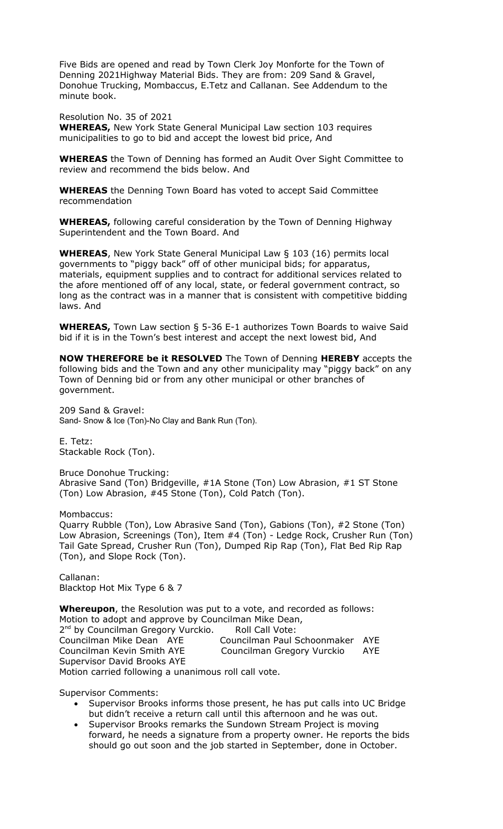Five Bids are opened and read by Town Clerk Joy Monforte for the Town of Denning 2021Highway Material Bids. They are from: 209 Sand & Gravel, Donohue Trucking, Mombaccus, E.Tetz and Callanan. See Addendum to the minute book.

Resolution No. 35 of 2021

**WHEREAS,** New York State General Municipal Law section 103 requires municipalities to go to bid and accept the lowest bid price, And

**WHEREAS** the Town of Denning has formed an Audit Over Sight Committee to review and recommend the bids below. And

**WHEREAS** the Denning Town Board has voted to accept Said Committee recommendation

**WHEREAS,** following careful consideration by the Town of Denning Highway Superintendent and the Town Board. And

**WHEREAS**, New York State General Municipal Law § 103 (16) permits local governments to "piggy back" off of other municipal bids; for apparatus, materials, equipment supplies and to contract for additional services related to the afore mentioned off of any local, state, or federal government contract, so long as the contract was in a manner that is consistent with competitive bidding laws. And

**WHEREAS,** Town Law section § 5-36 E-1 authorizes Town Boards to waive Said bid if it is in the Town's best interest and accept the next lowest bid, And

**NOW THEREFORE be it RESOLVED** The Town of Denning **HEREBY** accepts the following bids and the Town and any other municipality may "piggy back" on any Town of Denning bid or from any other municipal or other branches of government.

209 Sand & Gravel: Sand- Snow & Ice (Ton)-No Clay and Bank Run (Ton).

E. Tetz: Stackable Rock (Ton).

Bruce Donohue Trucking: Abrasive Sand (Ton) Bridgeville, #1A Stone (Ton) Low Abrasion, #1 ST Stone (Ton) Low Abrasion, #45 Stone (Ton), Cold Patch (Ton).

Mombaccus:

Quarry Rubble (Ton), Low Abrasive Sand (Ton), Gabions (Ton), #2 Stone (Ton) Low Abrasion, Screenings (Ton), Item #4 (Ton) - Ledge Rock, Crusher Run (Ton) Tail Gate Spread, Crusher Run (Ton), Dumped Rip Rap (Ton), Flat Bed Rip Rap (Ton), and Slope Rock (Ton).

Callanan: Blacktop Hot Mix Type 6 & 7

**Whereupon**, the Resolution was put to a vote, and recorded as follows: Motion to adopt and approve by Councilman Mike Dean, 2<sup>nd</sup> by Councilman Gregory Vurckio. Roll Call Vote: Councilman Mike Dean AYE Councilman Paul Schoonmaker AYE Councilman Kevin Smith AYE Councilman Gregory Vurckio AYE Supervisor David Brooks AYE Motion carried following a unanimous roll call vote.

Supervisor Comments:

- Supervisor Brooks informs those present, he has put calls into UC Bridge but didn't receive a return call until this afternoon and he was out.
- Supervisor Brooks remarks the Sundown Stream Project is moving forward, he needs a signature from a property owner. He reports the bids should go out soon and the job started in September, done in October.